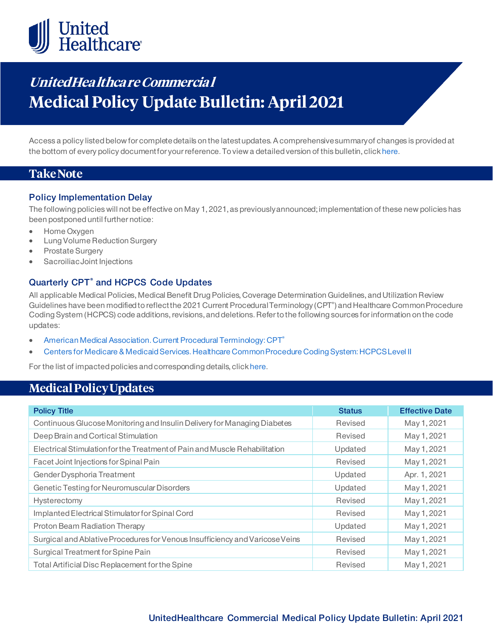

# **UnitedHea lthca re Commercia l Medical Policy Update Bulletin: April2021**

Access a policy listed below for complete details on the latest updates. A comprehensive summary of changes is provided at the bottom of every policy document for your reference. To view a detailed version of this bulletin, clic[k here](https://www.uhcprovider.com/content/dam/provider/docs/public/policies/mpub-archives/commercial/medical-policy-update-bulletin-april-2021-full.pdf).

### **Take Note**

#### **Policy Implementation Delay**

The following policies will not be effective on May 1, 2021, as previously announced; implementation of these new policies has been postponed until further notice:

- Home Oxygen
- Lung Volume Reduction Surgery
- Prostate Surgery
- Sacroiliac Joint Injections

### **Quarterly CPT® and HCPCS Code Updates**

All applicable Medical Policies, Medical Benefit Drug Policies, Coverage Determination Guidelines, and Utilization Review Guidelines have been modified to reflect the 2021 Current Procedural Terminology (CPT®) and Healthcare Common Procedure Coding System (HCPCS) code additions, revisions, and deletions. Refer to the following sources for information on the code updates:

- [American Medical Association. Current Procedural Terminology: CPT®](https://www.ama-assn.org/practice-management/cpt)
- [Centers for Medicare & Medicaid Services. Healthcare Common Procedure Coding System: HCPCS Level II](https://www.cms.gov/Medicare/Coding/MedHCPCSGenInfo/index.html)

For the list of impacted policies and corresponding details, clic[k here](https://www.uhcprovider.com/content/dam/provider/docs/public/policies/mpub-archives/commercial/medical-policy-update-bulletin-april-2021-full.pdf).

### **Medical Policy Updates**

| <b>Policy Title</b>                                                          | <b>Status</b> | <b>Effective Date</b> |
|------------------------------------------------------------------------------|---------------|-----------------------|
| Continuous Glucose Monitoring and Insulin Delivery for Managing Diabetes     | Revised       | May 1, 2021           |
| Deep Brain and Cortical Stimulation                                          | Revised       | May 1, 2021           |
| Electrical Stimulation for the Treatment of Pain and Muscle Rehabilitation   | Updated       | May 1, 2021           |
| Facet Joint Injections for Spinal Pain                                       | Revised       | May 1, 2021           |
| Gender Dysphoria Treatment                                                   | Updated       | Apr. 1, 2021          |
| Genetic Testing for Neuromuscular Disorders                                  | Updated       | May 1, 2021           |
| Hysterectomy                                                                 | Revised       | May 1, 2021           |
| Implanted Electrical Stimulator for Spinal Cord                              | Revised       | May 1, 2021           |
| Proton Beam Radiation Therapy                                                | Updated       | May 1, 2021           |
| Surgical and Ablative Procedures for Venous Insufficiency and Varicose Veins | Revised       | May 1, 2021           |
| Surgical Treatment for Spine Pain                                            | Revised       | May 1, 2021           |
| Total Artificial Disc Replacement for the Spine                              | Revised       | May 1, 2021           |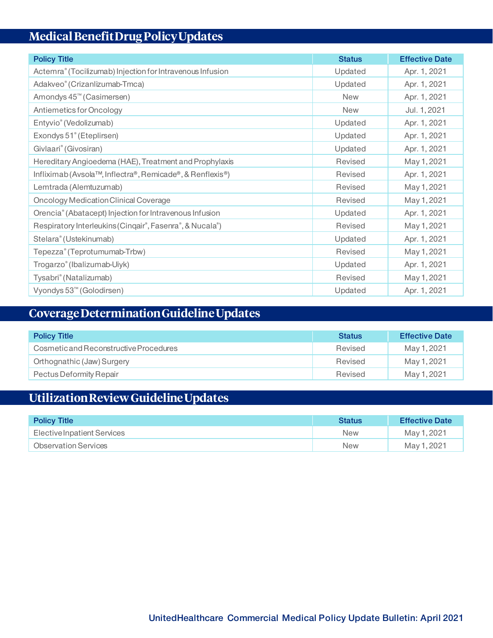## **Medical Benefit Drug Policy Updates**

| <b>Policy Title</b>                                       | <b>Status</b> | <b>Effective Date</b> |
|-----------------------------------------------------------|---------------|-----------------------|
| Actemra® (Tocilizumab) Injection for Intravenous Infusion | Updated       | Apr. 1, 2021          |
| Adakveo® (Crizanlizumab-Tmca)                             | Updated       | Apr. 1, 2021          |
| Amondys 45 <sup>™</sup> (Casimersen)                      | <b>New</b>    | Apr. 1, 2021          |
| Antiemetics for Oncology                                  | <b>New</b>    | Jul. 1, 2021          |
| Entyvio® (Vedolizumab)                                    | Updated       | Apr. 1, 2021          |
| Exondys 51° (Eteplirsen)                                  | Updated       | Apr. 1, 2021          |
| Givlaari® (Givosiran)                                     | Updated       | Apr. 1, 2021          |
| Hereditary Angioedema (HAE), Treatment and Prophylaxis    | Revised       | May 1, 2021           |
| Infliximab (Avsola™, Inflectra®, Remicade®, & Renflexis®) | Revised       | Apr. 1, 2021          |
| Lemtrada (Alemtuzumab)                                    | Revised       | May 1, 2021           |
| Oncology Medication Clinical Coverage                     | Revised       | May 1, 2021           |
| Orencia® (Abatacept) Injection for Intravenous Infusion   | Updated       | Apr. 1, 2021          |
| Respiratory Interleukins (Cinqair®, Fasenra®, & Nucala®)  | Revised       | May 1, 2021           |
| Stelara® (Ustekinumab)                                    | Updated       | Apr. 1, 2021          |
| Tepezza® (Teprotumumab-Trbw)                              | Revised       | May 1, 2021           |
| Trogarzo® (Ibalizumab-Uiyk)                               | Updated       | Apr. 1, 2021          |
| Tysabri® (Natalizumab)                                    | Revised       | May 1, 2021           |
| Vyondys 53 <sup>™</sup> (Golodirsen)                      | Updated       | Apr. 1, 2021          |

## **Coverage Determination Guideline Updates**

| <b>Policy Title</b>                    | <b>Status</b> | <b>Effective Date</b> |
|----------------------------------------|---------------|-----------------------|
| Cosmetic and Reconstructive Procedures | Revised       | May 1, 2021           |
| Orthognathic (Jaw) Surgery             | Revised       | May 1, 2021           |
| Pectus Deformity Repair                | Revised       | May 1, 2021           |

# **Utilization Review Guideline Updates**

| <b>Policy Title</b>         | <b>Status</b> | <b>Effective Date</b> |
|-----------------------------|---------------|-----------------------|
| Elective Inpatient Services | <b>New</b>    | May 1, 2021           |
| <b>Observation Services</b> | <b>New</b>    | May 1, 2021           |